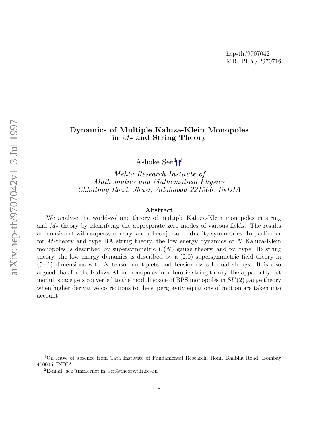### Dynamics of Multiple Kaluza-Klein Monopoles in M- and String Theory

Ashoke Sen<sup>1 2</sup>

Mehta Research Institute of Mathematics and Mathematical Physics Chhatnag Road, Jhusi, Allahabad 221506, INDIA

#### Abstract

We analyse the world-volume theory of multiple Kaluza-Klein monopoles in string and M- theory by identifying the appropriate zero modes of various fields. The results are consistent with supersymmetry, and all conjectured duality symmetries. In particular for M-theory and type IIA string theory, the low energy dynamics of N Kaluza-Klein monopoles is described by supersymmetric  $U(N)$  gauge theory, and for type IIB string theory, the low energy dynamics is described by a (2,0) supersymmetric field theory in  $(5+1)$  dimensions with N tensor multiplets and tensionless self-dual strings. It is also argued that for the Kaluza-Klein monopoles in heterotic string theory, the apparently flat moduli space gets converted to the moduli space of BPS monopoles in  $SU(2)$  gauge theory when higher derivative corrections to the supergravity equations of motion are taken into account.

<sup>1</sup>On leave of absence from Tata Institute of Fundamental Research, Homi Bhabha Road, Bombay 400005, INDIA <sup>2</sup>E-mail: sen@mri.ernet.in, sen@theory.tifr.res.in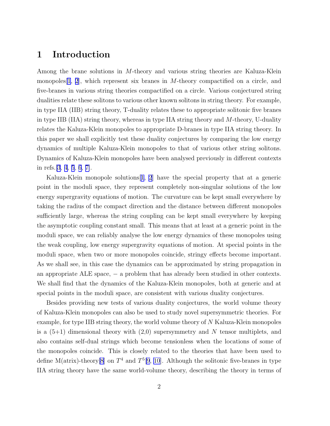## 1 Introduction

Among the brane solutions in M-theory and various string theories are Kaluza-Klein monopoles  $[1, 2]$  $[1, 2]$  $[1, 2]$  $[1, 2]$ , which represent six branes in M-theory compactified on a circle, and five-branes in various string theories compactified on a circle. Various conjectured string dualities relate these solitons to various other known solitons in string theory. For example, in type IIA (IIB) string theory, T-duality relates these to appropriate solitonic five branes in type IIB (IIA) string theory, whereas in type IIA string theory and M-theory, U-duality relates the Kaluza-Klein monopoles to appropriate D-branes in type IIA string theory. In this paper we shall explicitly test these duality conjectures by comparing the low energy dynamics of multiple Kaluza-Klein monopoles to that of various other string solitons. Dynamics of Kaluza-Klein monopoles have been analysed previously in different contexts in refs.[\[3](#page-10-0), [4](#page-10-0), [5](#page-10-0), [6](#page-10-0), [7\]](#page-10-0).

Kaluza-Klein monopole solutions[[1](#page-10-0), [2](#page-10-0)] have the special property that at a generic point in the moduli space, they represent completely non-singular solutions of the low energy supergravity equations of motion. The curvature can be kept small everywhere by taking the radius of the compact direction and the distance between different monopoles sufficiently large, whereas the string coupling can be kept small everywhere by keeping the asymptotic coupling constant small. This means that at least at a generic point in the moduli space, we can reliably analyse the low energy dynamics of these monopoles using the weak coupling, low energy supergravity equations of motion. At special points in the moduli space, when two or more monopoles coincide, stringy effects become important. As we shall see, in this case the dynamics can be approximated by string propagation in an appropriate ALE space,  $-$  a problem that has already been studied in other contexts. We shall find that the dynamics of the Kaluza-Klein monopoles, both at generic and at special points in the moduli space, are consistent with various duality conjectures.

Besides providing new tests of various duality conjectures, the world volume theory of Kaluza-Klein monopoles can also be used to study novel supersymmetric theories. For example, for type IIB string theory, the world volume theory of  $N$  Kaluza-Klein monopoles is a  $(5+1)$  dimensional theory with  $(2,0)$  supersymmetry and N tensor multiplets, and also contains self-dual strings which become tensionless when the locations of some of the monopoles coincide. This is closely related to the theories that have been used to define M(atrix)-theory [\[8](#page-10-0)] on  $T^4$  and  $T^5[9, 10]$  $T^5[9, 10]$  $T^5[9, 10]$  $T^5[9, 10]$  $T^5[9, 10]$ . Although the solitonic five-branes in type IIA string theory have the same world-volume theory, describing the theory in terms of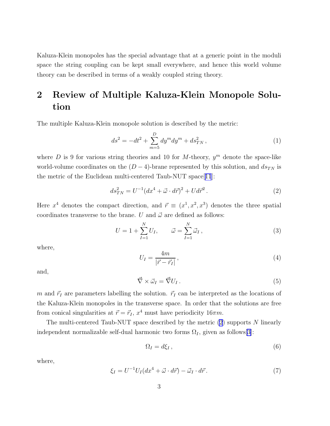<span id="page-2-0"></span>Kaluza-Klein monopoles has the special advantage that at a generic point in the moduli space the string coupling can be kept small everywhere, and hence this world volume theory can be described in terms of a weakly coupled string theory.

# 2 Review of Multiple Kaluza-Klein Monopole Solution

The multiple Kaluza-Klein monopole solution is described by the metric:

$$
ds^{2} = -dt^{2} + \sum_{m=5}^{D} dy^{m} dy^{m} + ds_{TN}^{2},
$$
\n(1)

where D is 9 for various string theories and 10 for M-theory,  $y^m$  denote the space-like world-volume coordinates on the  $(D-4)$ -brane represented by this solution, and  $ds_{TN}$  is the metric of the Euclidean multi-centered Taub-NUT space[[11](#page-11-0)]:

$$
ds_{TN}^2 = U^{-1} (dx^4 + \vec{\omega} \cdot d\vec{r})^2 + U d\vec{r}^2.
$$
 (2)

Here  $x^4$  denotes the compact direction, and  $\vec{r} \equiv (x^1, x^2, x^3)$  denotes the three spatial coordinates transverse to the brane. U and  $\vec{\omega}$  are defined as follows:

$$
U = 1 + \sum_{I=1}^{N} U_I, \qquad \vec{\omega} = \sum_{I=1}^{N} \vec{\omega}_I,
$$
 (3)

where,

$$
U_I = \frac{4m}{|\vec{r} - \vec{r}_I|},\tag{4}
$$

and,

$$
\vec{\nabla} \times \vec{\omega}_I = \vec{\nabla} U_I \,. \tag{5}
$$

m and  $\vec{r}_I$  are parameters labelling the solution.  $\vec{r}_I$  can be interpreted as the locations of the Kaluza-Klein monopoles in the transverse space. In order that the solutions are free from conical singularities at  $\vec{r} = \vec{r}_I$ ,  $x^4$  must have periodicity  $16\pi m$ .

The multi-centered Taub-NUT space described by the metric  $(2)$  supports N linearly independent normalizable self-dual harmonic two forms  $\Omega_I$ , given as follows[[3\]](#page-10-0):

$$
\Omega_I = d\xi_I \,,\tag{6}
$$

where,

$$
\xi_I = U^{-1} U_I (dx^4 + \vec{\omega} \cdot d\vec{r}) - \vec{\omega}_I \cdot d\vec{r}.
$$
\n(7)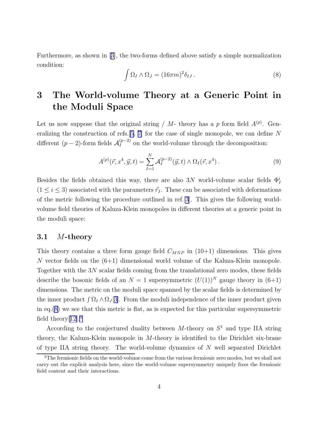Furthermore, as shown in[[3\]](#page-10-0), the two-forms defined above satisfy a simple normalization condition:

$$
\int \Omega_I \wedge \Omega_J = (16\pi m)^2 \delta_{IJ} . \tag{8}
$$

# 3 The World-volume Theory at a Generic Point in the Moduli Space

Let us now suppose that the original string / M- theory has a p form field  $A^{(p)}$ . Gen-eralizing the construction of refs.[\[5](#page-10-0), [7\]](#page-10-0) for the case of single monopole, we can define  $N$ different ( $p-2$ )-form fields  $\mathcal{A}_I^{(p-2)}$  on the world-volume through the decomposition:

$$
A^{(p)}(\vec{r}, x^4, \vec{y}, t) = \sum_{I=1}^{N} A_I^{(p-2)}(\vec{y}, t) \wedge \Omega_I(\vec{r}, x^4).
$$
 (9)

Besides the fields obtained this way, there are also 3N world-volume scalar fields  $\Phi_I^i$  $(1 \le i \le 3)$  associated with the parameters  $\vec{r}_I$ . These can be associated with deformations of the metric following the procedure outlined in ref.[\[3](#page-10-0)]. This gives the following worldvolume field theories of Kaluza-Klein monopoles in different theories at a generic point in the moduli space:

#### 3.1 M-theory

This theory contains a three form gauge field  $C_{MNP}$  in (10+1) dimensions. This gives N vector fields on the  $(6+1)$  dimensional world volume of the Kaluza-Klein monopole. Together with the 3N scalar fields coming from the translational zero modes, these fields describe the bosonic fields of an  $N = 1$  supersymmetric  $(U(1))^N$  gauge theory in  $(6+1)$ dimensions. The metric on the moduli space spanned by the scalar fields is determined by the inner product  $\int \Omega_I \wedge \Omega_J[3]$  $\int \Omega_I \wedge \Omega_J[3]$ . From the moduli independence of the inner product given in eq. $(8)$  we see that this metric is flat, as is expected for this particular supersymmetric field theory $[12]$  $[12]$ <sup>3</sup>

According to the conjectured duality between  $M$ -theory on  $S<sup>1</sup>$  and type IIA string theory, the Kaluza-Klein monopole in M-theory is identified to the Dirichlet six-brane of type IIA string theory. The world-volume dynamics of N well separated Dirichlet

<sup>&</sup>lt;sup>3</sup>The fermionic fields on the world-volume come from the various fermionic zero modes, but we shall not carry out the explicit analysis here, since the world-volume supersymmetry uniquely fixes the fermionic field content and their interactions.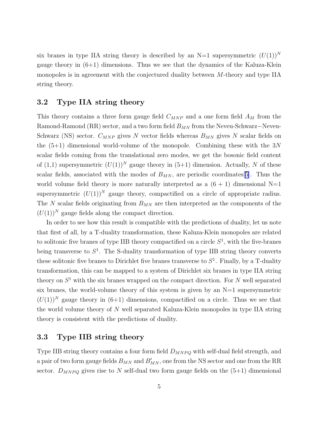six branes in type IIA string theory is described by an  $N=1$  supersymmetric  $(U(1))^N$ gauge theory in  $(6+1)$  dimensions. Thus we see that the dynamics of the Kaluza-Klein monopoles is in agreement with the conjectured duality between M-theory and type IIA string theory.

#### 3.2 Type IIA string theory

This theory contains a three form gauge field  $C_{MNP}$  and a one form field  $A_M$  from the Ramond-Ramond (RR) sector, and a two form field  $B_{MN}$  from the Neveu-Schwarz–Neveu-Schwarz (NS) sector.  $C_{MNP}$  gives N vector fields whereas  $B_{MN}$  gives N scalar fields on the  $(5+1)$  dimensional world-volume of the monopole. Combining these with the 3N scalar fields coming from the translational zero modes, we get the bosonic field content of (1,1) supersymmetric  $(U(1))^N$  gauge theory in (5+1) dimension. Actually, N of these scalar fields, associated with the modes of  $B_{MN}$ , are periodic coordinates[\[5\]](#page-10-0). Thus the world volume field theory is more naturally interpreted as a  $(6 + 1)$  dimensional N=1 supersymmetric  $(U(1))^N$  gauge theory, compactified on a circle of appropriate radius. The  $N$  scalar fields originating from  $B_{MN}$  are then interpreted as the components of the  $(U(1))^N$  gauge fields along the compact direction.

In order to see how this result is compatible with the predictions of duality, let us note that first of all, by a T-duality transformation, these Kaluza-Klein monopoles are related to solitonic five branes of type IIB theory compactified on a circle  $S<sup>1</sup>$ , with the five-branes being transverse to  $S<sup>1</sup>$ . The S-duality transformation of type IIB string theory converts these solitonic five branes to Dirichlet five branes transverse to  $S<sup>1</sup>$ . Finally, by a T-duality transformation, this can be mapped to a system of Dirichlet six branes in type IIA string theory on  $S^1$  with the six branes wrapped on the compact direction. For N well separated six branes, the world-volume theory of this system is given by an  $N=1$  supersymmetric  $(U(1))^N$  gauge theory in  $(6+1)$  dimensions, compactified on a circle. Thus we see that the world volume theory of N well separated Kaluza-Klein monopoles in type IIA string theory is consistent with the predictions of duality.

#### 3.3 Type IIB string theory

Type IIB string theory contains a four form field  $D_{MNPQ}$  with self-dual field strength, and a pair of two form gauge fields  $B_{MN}$  and  $B'_{MN}$ , one from the NS sector and one from the RR sector.  $D_{MNPQ}$  gives rise to N self-dual two form gauge fields on the  $(5+1)$  dimensional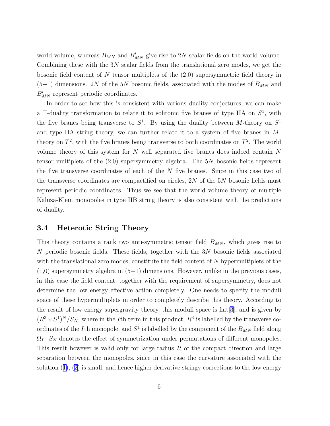world volume, whereas  $B_{MN}$  and  $B'_{MN}$  give rise to 2N scalar fields on the world-volume. Combining these with the  $3N$  scalar fields from the translational zero modes, we get the bosonic field content of N tensor multiplets of the  $(2,0)$  supersymmetric field theory in  $(5+1)$  dimensions. 2N of the 5N bosonic fields, associated with the modes of  $B_{MN}$  and  $B'_{MN}$  represent periodic coordinates.

In order to see how this is consistent with various duality conjectures, we can make a T-duality transformation to relate it to solitonic five branes of type IIA on  $S^1$ , with the five branes being transverse to  $S^1$ . By using the duality between M-theory on  $S^1$ and type IIA string theory, we can further relate it to a system of five branes in Mtheory on  $T^2$ , with the five branes being transverse to both coordinates on  $T^2$ . The world volume theory of this system for N well separated five branes does indeed contain N tensor multiplets of the (2,0) supersymmetry algebra. The 5N bosonic fields represent the five transverse coordinates of each of the  $N$  five branes. Since in this case two of the transverse coordinates are compactified on circles, 2N of the 5N bosonic fields must represent periodic coordinates. Thus we see that the world volume theory of multiple Kaluza-Klein monopoles in type IIB string theory is also consistent with the predictions of duality.

#### 3.4 Heterotic String Theory

This theory contains a rank two anti-symmetric tensor field  $B_{MN}$ , which gives rise to N periodic bosonic fields. These fields, together with the 3N bosonic fields associated with the translational zero modes, constitute the field content of N hypermultiplets of the  $(1,0)$  supersymmetry algebra in  $(5+1)$  dimensions. However, unlike in the previous cases, in this case the field content, together with the requirement of supersymmetry, does not determine the low energy effective action completely. One needs to specify the moduli space of these hypermultiplets in order to completely describe this theory. According to the result of low energy supergravity theory, this moduli space is flat[\[3](#page-10-0)], and is given by  $(R^{3} \times S^{1})^{N}/S_{N}$ , where in the *I*th term in this product,  $R^{3}$  is labelled by the transverse coordinates of the *I*<sup>th</sup> monopole, and  $S^1$  is labelled by the component of the  $B_{MN}$  field along  $\Omega_I$ .  $S_N$  denotes the effect of symmetrization under permutations of different monopoles. This result however is valid only for large radius R of the compact direction and large separation between the monopoles, since in this case the curvature associated with the solution $(1)$  $(1)$ ,  $(2)$  is small, and hence higher derivative stringy corrections to the low energy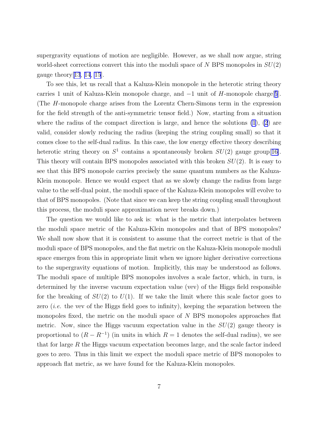supergravity equations of motion are negligible. However, as we shall now argue, string world-sheet corrections convert this into the moduli space of  $N$  BPS monopoles in  $SU(2)$ gauge theory  $[13, 14, 15]$  $[13, 14, 15]$  $[13, 14, 15]$  $[13, 14, 15]$  $[13, 14, 15]$  $[13, 14, 15]$  $[13, 14, 15]$ .

To see this, let us recall that a Kaluza-Klein monopole in the heterotic string theory carries 1 unit of Kaluza-Klein monopole charge, and  $-1$  unit of H-monopole charge[[5](#page-10-0)]. (The H-monopole charge arises from the Lorentz Chern-Simons term in the expression for the field strength of the anti-symmetric tensor field.) Now, starting from a situation where the radius of the compact direction is large, and hence the solutions  $(1), (2)$  $(1), (2)$  $(1), (2)$  are valid, consider slowly reducing the radius (keeping the string coupling small) so that it comes close to the self-dual radius. In this case, the low energy effective theory describing heterotic string theory on  $S^1$  contains a spontaneously broken  $SU(2)$  gauge group [[16\]](#page-11-0). This theory will contain BPS monopoles associated with this broken  $SU(2)$ . It is easy to see that this BPS monopole carries precisely the same quantum numbers as the Kaluza-Klein monopole. Hence we would expect that as we slowly change the radius from large value to the self-dual point, the moduli space of the Kaluza-Klein monopoles will evolve to that of BPS monopoles. (Note that since we can keep the string coupling small throughout this process, the moduli space approximation never breaks down.)

The question we would like to ask is: what is the metric that interpolates between the moduli space metric of the Kaluza-Klein monopoles and that of BPS monopoles? We shall now show that it is consistent to assume that the correct metric is that of the moduli space of BPS monopoles, and the flat metric on the Kaluza-Klein monopole moduli space emerges from this in appropriate limit when we ignore higher derivative corrections to the supergravity equations of motion. Implicitly, this may be understood as follows. The moduli space of multiple BPS monopoles involves a scale factor, which, in turn, is determined by the inverse vacuum expectation value (vev) of the Higgs field responsible for the breaking of  $SU(2)$  to  $U(1)$ . If we take the limit where this scale factor goes to zero *(i.e.* the vev of the Higgs field goes to infinity), keeping the separation between the monopoles fixed, the metric on the moduli space of N BPS monopoles approaches flat metric. Now, since the Higgs vacuum expectation value in the  $SU(2)$  gauge theory is proportional to  $(R - R^{-1})$  (in units in which  $R = 1$  denotes the self-dual radius), we see that for large  $R$  the Higgs vacuum expectation becomes large, and the scale factor indeed goes to zero. Thus in this limit we expect the moduli space metric of BPS monopoles to approach flat metric, as we have found for the Kaluza-Klein monopoles.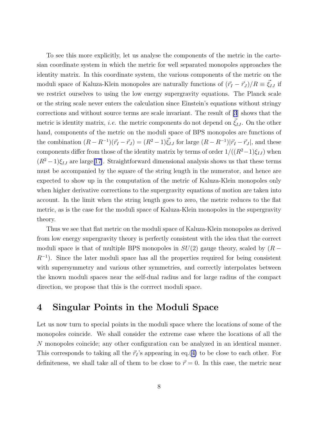To see this more explicitly, let us analyse the components of the metric in the cartesian coordinate system in which the metric for well separated monopoles approaches the identity matrix. In this coordinate system, the various components of the metric on the moduli space of Kaluza-Klein monopoles are naturally functions of  $(\vec{r}_I - \vec{r}_J)/R \equiv \vec{\xi}_{IJ}$  if we restrict ourselves to using the low energy supergravity equations. The Planck scale or the string scale never enters the calculation since Einstein's equations without stringy corrections and without source terms are scale invariant. The result of [\[3](#page-10-0)] shows that the metric is identity matrix, *i.e.* the metric components do not depend on  $\vec{\xi}_{IJ}$ . On the other hand, components of the metric on the moduli space of BPS monopoles are functions of the combination  $(R - R^{-1})(\vec{r}_I - \vec{r}_J) = (R^2 - 1)\vec{\xi}_{IJ}$  for large  $(R - R^{-1})|\vec{r}_I - \vec{r}_J|$ , and these components differ from those of the identity matrix by terms of order  $1/((R^2-1)\xi_{IJ})$  when  $(R^{2}-1)\xi_{IJ}$  are large[\[17\]](#page-11-0). Straightforward dimensional analysis shows us that these terms must be accompanied by the square of the string length in the numerator, and hence are expected to show up in the computation of the metric of Kaluza-Klein monopoles only when higher derivative corrections to the supergravity equations of motion are taken into account. In the limit when the string length goes to zero, the metric reduces to the flat metric, as is the case for the moduli space of Kaluza-Klein monopoles in the supergravity theory.

Thus we see that flat metric on the moduli space of Kaluza-Klein monopoles as derived from low energy supergravity theory is perfectly consistent with the idea that the correct moduli space is that of multiple BPS monopoles in  $SU(2)$  gauge theory, scaled by  $(R R^{-1}$ ). Since the later moduli space has all the properties required for being consistent with supersymmetry and various other symmetries, and correctly interpolates between the known moduli spaces near the self-dual radius and for large radius of the compact direction, we propose that this is the corrrect moduli space.

### 4 Singular Points in the Moduli Space

Let us now turn to special points in the moduli space where the locations of some of the monopoles coincide. We shall consider the extreme case where the locations of all the N monopoles coincide; any other configuration can be analyzed in an identical manner. This corresponds to taking all the  $\vec{r}_I$ 's appearing in eq.([4\)](#page-2-0) to be close to each other. For definiteness, we shall take all of them to be close to  $\vec{r} = 0$ . In this case, the metric near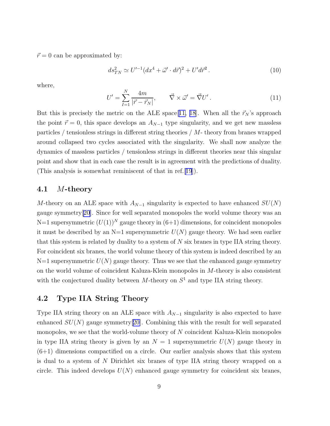$\vec{r} = 0$  can be approximated by:

$$
ds_{TN}^2 \simeq U'^{-1} (dx^4 + \vec{\omega}' \cdot d\vec{r})^2 + U' d\vec{r}^2.
$$
 (10)

where,

$$
U' = \sum_{I=1}^{N} \frac{4m}{|\vec{r} - \vec{r}_N|}, \qquad \vec{\nabla} \times \vec{\omega}' = \vec{\nabla} U' \,. \tag{11}
$$

But this is precisely the metric on the ALE space[[11, 18](#page-11-0)]. When all the  $\vec{r}_N$ 's approach the point  $\vec{r} = 0$ , this space develops an  $A_{N-1}$  type singularity, and we get new massless particles / tensionless strings in different string theories / M- theory from branes wrapped around collapsed two cycles associated with the singularity. We shall now analyze the dynamics of massless particles / tensionless strings in different theories near this singular point and show that in each case the result is in agreement with the predictions of duality. (This analysis is somewhat reminiscent of that in ref.[[19](#page-11-0)]).

#### 4.1 M-theory

M-theory on an ALE space with  $A_{N-1}$  singularity is expected to have enhanced  $SU(N)$ gauge symmetry[\[20](#page-11-0)]. Since for well separated monopoles the world volume theory was an N=1 supersymmetric  $(U(1))^N$  gauge theory in  $(6+1)$  dimensions, for coincident monopoles it must be described by an  $N=1$  supersymmetric  $U(N)$  gauge theory. We had seen earlier that this system is related by duality to a system of N six branes in type IIA string theory. For coincident six branes, the world volume theory of this system is indeed described by an  $N=1$  supersymmetric  $U(N)$  gauge theory. Thus we see that the enhanced gauge symmetry on the world volume of coincident Kaluza-Klein monopoles in M-theory is also consistent with the conjectured duality between  $M$ -theory on  $S<sup>1</sup>$  and type IIA string theory.

#### 4.2 Type IIA String Theory

Type IIA string theory on an ALE space with  $A_{N-1}$  singularity is also expected to have enhanced  $SU(N)$  gauge symmetry[\[20](#page-11-0)]. Combining this with the result for well separated monopoles, we see that the world-volume theory of  $N$  coincident Kaluza-Klein monopoles in type IIA string theory is given by an  $N = 1$  supersymmetric  $U(N)$  gauge theory in  $(6+1)$  dimensions compactified on a circle. Our earlier analysis shows that this system is dual to a system of N Dirichlet six branes of type IIA string theory wrapped on a circle. This indeed develops  $U(N)$  enhanced gauge symmetry for coincident six branes,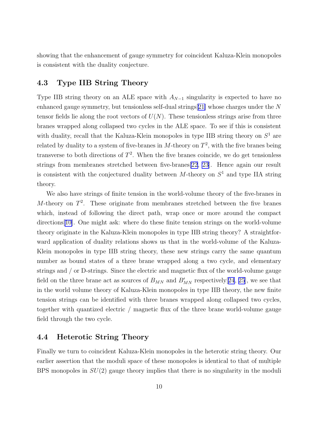showing that the enhancement of gauge symmetry for coincident Kaluza-Klein monopoles is consistent with the duality conjecture.

#### 4.3 Type IIB String Theory

Type IIB string theory on an ALE space with  $A_{N-1}$  singularity is expected to have no enhanced gauge symmetry, but tensionless self-dual strings  $[21]$  $[21]$  whose charges under the N tensor fields lie along the root vectors of  $U(N)$ . These tensionless strings arise from three branes wrapped along collapsed two cycles in the ALE space. To see if this is consistent with duality, recall that the Kaluza-Klein monopoles in type IIB string theory on  $S^1$  are related by duality to a system of five-branes in  $M$ -theory on  $T^2$ , with the five branes being transverse to both directions of  $T^2$ . When the five branes coincide, we do get tensionless strings from membranes stretched between five-branes[\[22](#page-11-0), [23](#page-11-0)]. Hence again our result is consistent with the conjectured duality between  $M$ -theory on  $S<sup>1</sup>$  and type IIA string theory.

We also have strings of finite tension in the world-volume theory of the five-branes in M-theory on  $T^2$ . These originate from membranes stretched between the five branes which, instead of following the direct path, wrap once or more around the compact directions[[10\]](#page-11-0). One might ask: where do these finite tension strings on the world-volume theory originate in the Kaluza-Klein monopoles in type IIB string theory? A straightforward application of duality relations shows us that in the world-volume of the Kaluza-Klein monopoles in type IIB string theory, these new strings carry the same quantum number as bound states of a three brane wrapped along a two cycle, and elementary strings and / or D-strings. Since the electric and magnetic flux of the world-volume gauge field on the three brane act as sources of  $B_{MN}$  and  $B'_{MN}$  respectively [[24](#page-11-0), [25](#page-11-0)], we see that in the world volume theory of Kaluza-Klein monopoles in type IIB theory, the new finite tension strings can be identified with three branes wrapped along collapsed two cycles, together with quantized electric / magnetic flux of the three brane world-volume gauge field through the two cycle.

#### 4.4 Heterotic String Theory

Finally we turn to coincident Kaluza-Klein monopoles in the heterotic string theory. Our earlier assertion that the moduli space of these monopoles is identical to that of multiple BPS monopoles in  $SU(2)$  gauge theory implies that there is no singularity in the moduli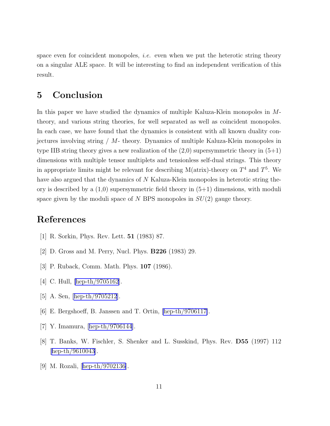<span id="page-10-0"></span>space even for coincident monopoles, *i.e.* even when we put the heterotic string theory on a singular ALE space. It will be interesting to find an independent verification of this result.

## 5 Conclusion

In this paper we have studied the dynamics of multiple Kaluza-Klein monopoles in Mtheory, and various string theories, for well separated as well as coincident monopoles. In each case, we have found that the dynamics is consistent with all known duality conjectures involving string / M- theory. Dynamics of multiple Kaluza-Klein monopoles in type IIB string theory gives a new realization of the  $(2,0)$  supersymmetric theory in  $(5+1)$ dimensions with multiple tensor multiplets and tensionless self-dual strings. This theory in appropriate limits might be relevant for describing M(atrix)-theory on  $T^4$  and  $T^5$ . We have also argued that the dynamics of N Kaluza-Klein monopoles in heterotic string theory is described by a  $(1,0)$  supersymmetric field theory in  $(5+1)$  dimensions, with moduli space given by the moduli space of N BPS monopoles in  $SU(2)$  gauge theory.

## References

- [1] R. Sorkin, Phys. Rev. Lett. 51 (1983) 87.
- [2] D. Gross and M. Perry, Nucl. Phys. B226 (1983) 29.
- [3] P. Ruback, Comm. Math. Phys. **107** (1986).
- [4] C. Hull, [\[hep-th/9705162](http://arxiv.org/abs/hep-th/9705162)].
- [5] A. Sen, [\[hep-th/9705212](http://arxiv.org/abs/hep-th/9705212)].
- [6] E. Bergshoeff, B. Janssen and T. Ortin, [\[hep-th/9706117\]](http://arxiv.org/abs/hep-th/9706117).
- [7] Y. Imamura,[[hep-th/9706144](http://arxiv.org/abs/hep-th/9706144)].
- [8] T. Banks, W. Fischler, S. Shenker and L. Susskind, Phys. Rev. D55 (1997) 112 [[hep-th/9610043\]](http://arxiv.org/abs/hep-th/9610043).
- [9] M. Rozali,[[hep-th/9702136\]](http://arxiv.org/abs/hep-th/9702136).